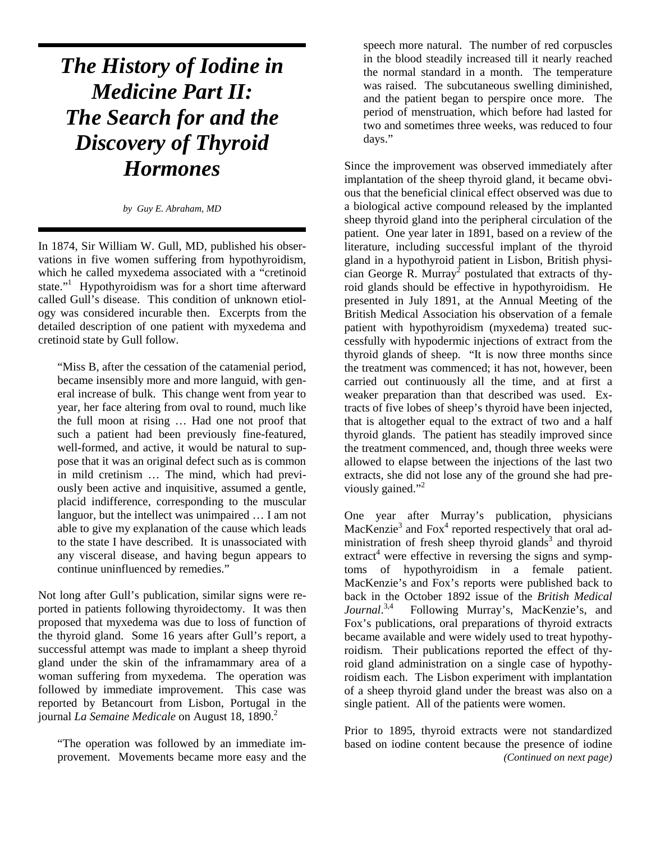# *The History of Iodine in Medicine Part II: The Search for and the Discovery of Thyroid Hormones*

*by Guy E. Abraham, MD*

In 1874, Sir William W. Gull, MD, published his observations in five women suffering from hypothyroidism, which he called myxedema associated with a "cretinoid state."<sup>1</sup> Hypothyroidism was for a short time afterward called Gull's disease. This condition of unknown etiology was considered incurable then. Excerpts from the detailed description of one patient with myxedema and cretinoid state by Gull follow.

"Miss B, after the cessation of the catamenial period, became insensibly more and more languid, with general increase of bulk. This change went from year to year, her face altering from oval to round, much like the full moon at rising … Had one not proof that such a patient had been previously fine-featured, well-formed, and active, it would be natural to suppose that it was an original defect such as is common in mild cretinism … The mind, which had previously been active and inquisitive, assumed a gentle, placid indifference, corresponding to the muscular languor, but the intellect was unimpaired … I am not able to give my explanation of the cause which leads to the state I have described. It is unassociated with any visceral disease, and having begun appears to continue uninfluenced by remedies."

Not long after Gull's publication, similar signs were reported in patients following thyroidectomy. It was then proposed that myxedema was due to loss of function of the thyroid gland. Some 16 years after Gull's report, a successful attempt was made to implant a sheep thyroid gland under the skin of the inframammary area of a woman suffering from myxedema. The operation was followed by immediate improvement. This case was reported by Betancourt from Lisbon, Portugal in the journal *La Semaine Medicale* on August 18, 1890.<sup>2</sup>

"The operation was followed by an immediate improvement. Movements became more easy and the

speech more natural. The number of red corpuscles in the blood steadily increased till it nearly reached the normal standard in a month. The temperature was raised. The subcutaneous swelling diminished, and the patient began to perspire once more. The period of menstruation, which before had lasted for two and sometimes three weeks, was reduced to four days."

Since the improvement was observed immediately after implantation of the sheep thyroid gland, it became obvious that the beneficial clinical effect observed was due to a biological active compound released by the implanted sheep thyroid gland into the peripheral circulation of the patient. One year later in 1891, based on a review of the literature, including successful implant of the thyroid gland in a hypothyroid patient in Lisbon, British physician George R. Murray<sup>2</sup> postulated that extracts of thyroid glands should be effective in hypothyroidism. He presented in July 1891, at the Annual Meeting of the British Medical Association his observation of a female patient with hypothyroidism (myxedema) treated successfully with hypodermic injections of extract from the thyroid glands of sheep. "It is now three months since the treatment was commenced; it has not, however, been carried out continuously all the time, and at first a weaker preparation than that described was used. Extracts of five lobes of sheep's thyroid have been injected, that is altogether equal to the extract of two and a half thyroid glands. The patient has steadily improved since the treatment commenced, and, though three weeks were allowed to elapse between the injections of the last two extracts, she did not lose any of the ground she had previously gained."<sup>2</sup>

One year after Murray's publication, physicians MacKenzie<sup>3</sup> and Fox<sup>4</sup> reported respectively that oral administration of fresh sheep thyroid glands<sup>3</sup> and thyroid extract<sup>4</sup> were effective in reversing the signs and symptoms of hypothyroidism in a female patient. MacKenzie's and Fox's reports were published back to back in the October 1892 issue of the *British Medical Journal*. 3,4 Following Murray's, MacKenzie's, and Fox's publications, oral preparations of thyroid extracts became available and were widely used to treat hypothyroidism. Their publications reported the effect of thyroid gland administration on a single case of hypothyroidism each. The Lisbon experiment with implantation of a sheep thyroid gland under the breast was also on a single patient. All of the patients were women.

Prior to 1895, thyroid extracts were not standardized based on iodine content because the presence of iodine *(Continued on next page)*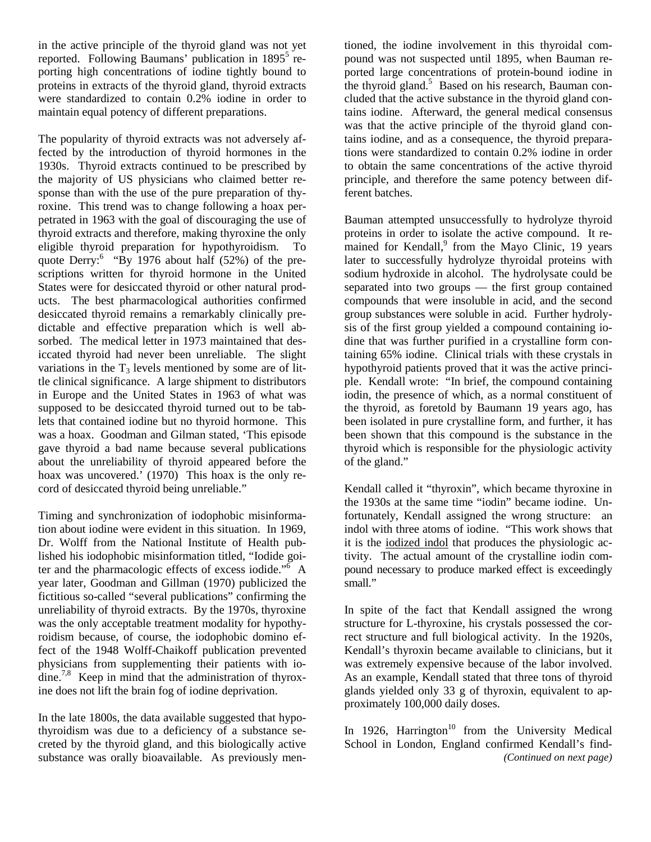in the active principle of the thyroid gland was not yet reported. Following Baumans' publication in 1895<sup>5</sup> reporting high concentrations of iodine tightly bound to proteins in extracts of the thyroid gland, thyroid extracts were standardized to contain 0.2% iodine in order to maintain equal potency of different preparations.

The popularity of thyroid extracts was not adversely affected by the introduction of thyroid hormones in the 1930s. Thyroid extracts continued to be prescribed by the majority of US physicians who claimed better response than with the use of the pure preparation of thyroxine. This trend was to change following a hoax perpetrated in 1963 with the goal of discouraging the use of thyroid extracts and therefore, making thyroxine the only eligible thyroid preparation for hypothyroidism. To quote Derry:<sup>6</sup> "By 1976 about half (52%) of the prescriptions written for thyroid hormone in the United States were for desiccated thyroid or other natural products. The best pharmacological authorities confirmed desiccated thyroid remains a remarkably clinically predictable and effective preparation which is well absorbed. The medical letter in 1973 maintained that desiccated thyroid had never been unreliable. The slight variations in the  $T_3$  levels mentioned by some are of little clinical significance. A large shipment to distributors in Europe and the United States in 1963 of what was supposed to be desiccated thyroid turned out to be tablets that contained iodine but no thyroid hormone. This was a hoax. Goodman and Gilman stated, 'This episode gave thyroid a bad name because several publications about the unreliability of thyroid appeared before the hoax was uncovered.' (1970) This hoax is the only record of desiccated thyroid being unreliable."

Timing and synchronization of iodophobic misinformation about iodine were evident in this situation. In 1969, Dr. Wolff from the National Institute of Health published his iodophobic misinformation titled, "Iodide goiter and the pharmacologic effects of excess iodide."<sup>6</sup> A year later, Goodman and Gillman (1970) publicized the fictitious so-called "several publications" confirming the unreliability of thyroid extracts. By the 1970s, thyroxine was the only acceptable treatment modality for hypothyroidism because, of course, the iodophobic domino effect of the 1948 Wolff-Chaikoff publication prevented physicians from supplementing their patients with iodine.<sup>7,8</sup> Keep in mind that the administration of thyroxine does not lift the brain fog of iodine deprivation.

In the late 1800s, the data available suggested that hypothyroidism was due to a deficiency of a substance secreted by the thyroid gland, and this biologically active substance was orally bioavailable. As previously mentioned, the iodine involvement in this thyroidal compound was not suspected until 1895, when Bauman reported large concentrations of protein-bound iodine in the thyroid gland. $5$  Based on his research, Bauman concluded that the active substance in the thyroid gland contains iodine. Afterward, the general medical consensus was that the active principle of the thyroid gland contains iodine, and as a consequence, the thyroid preparations were standardized to contain 0.2% iodine in order to obtain the same concentrations of the active thyroid principle, and therefore the same potency between different batches.

Bauman attempted unsuccessfully to hydrolyze thyroid proteins in order to isolate the active compound. It remained for Kendall,<sup>9</sup> from the Mayo Clinic, 19 years later to successfully hydrolyze thyroidal proteins with sodium hydroxide in alcohol. The hydrolysate could be separated into two groups — the first group contained compounds that were insoluble in acid, and the second group substances were soluble in acid. Further hydrolysis of the first group yielded a compound containing iodine that was further purified in a crystalline form containing 65% iodine. Clinical trials with these crystals in hypothyroid patients proved that it was the active principle. Kendall wrote: "In brief, the compound containing iodin, the presence of which, as a normal constituent of the thyroid, as foretold by Baumann 19 years ago, has been isolated in pure crystalline form, and further, it has been shown that this compound is the substance in the thyroid which is responsible for the physiologic activity of the gland."

Kendall called it "thyroxin", which became thyroxine in the 1930s at the same time "iodin" became iodine. Unfortunately, Kendall assigned the wrong structure: an indol with three atoms of iodine. "This work shows that it is the iodized indol that produces the physiologic activity. The actual amount of the crystalline iodin compound necessary to produce marked effect is exceedingly small."

In spite of the fact that Kendall assigned the wrong structure for L-thyroxine, his crystals possessed the correct structure and full biological activity. In the 1920s, Kendall's thyroxin became available to clinicians, but it was extremely expensive because of the labor involved. As an example, Kendall stated that three tons of thyroid glands yielded only 33 g of thyroxin, equivalent to approximately 100,000 daily doses.

In 1926, Harrington<sup>10</sup> from the University Medical School in London, England confirmed Kendall's find- *(Continued on next page)*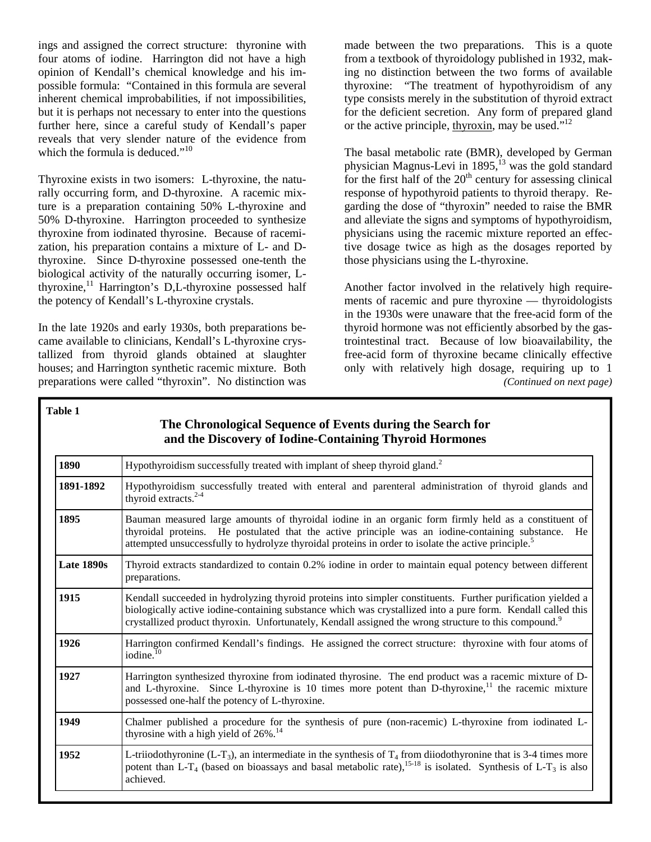ings and assigned the correct structure: thyronine with four atoms of iodine. Harrington did not have a high opinion of Kendall's chemical knowledge and his impossible formula: "Contained in this formula are several inherent chemical improbabilities, if not impossibilities, but it is perhaps not necessary to enter into the questions further here, since a careful study of Kendall's paper reveals that very slender nature of the evidence from which the formula is deduced."<sup>10</sup>

Thyroxine exists in two isomers: L-thyroxine, the naturally occurring form, and D-thyroxine. A racemic mixture is a preparation containing 50% L-thyroxine and 50% D-thyroxine. Harrington proceeded to synthesize thyroxine from iodinated thyrosine. Because of racemization, his preparation contains a mixture of L- and Dthyroxine. Since D-thyroxine possessed one-tenth the biological activity of the naturally occurring isomer, Lthyroxine, $11$  Harrington's D,L-thyroxine possessed half the potency of Kendall's L-thyroxine crystals.

In the late 1920s and early 1930s, both preparations became available to clinicians, Kendall's L-thyroxine crystallized from thyroid glands obtained at slaughter houses; and Harrington synthetic racemic mixture. Both preparations were called "thyroxin". No distinction was

made between the two preparations. This is a quote from a textbook of thyroidology published in 1932, making no distinction between the two forms of available thyroxine: "The treatment of hypothyroidism of any type consists merely in the substitution of thyroid extract for the deficient secretion. Any form of prepared gland or the active principle, thyroxin, may be used." $12$ 

The basal metabolic rate (BMR), developed by German physician Magnus-Levi in 1895,<sup>13</sup> was the gold standard for the first half of the  $20<sup>th</sup>$  century for assessing clinical response of hypothyroid patients to thyroid therapy. Regarding the dose of "thyroxin" needed to raise the BMR and alleviate the signs and symptoms of hypothyroidism, physicians using the racemic mixture reported an effective dosage twice as high as the dosages reported by those physicians using the L-thyroxine.

Another factor involved in the relatively high requirements of racemic and pure thyroxine — thyroidologists in the 1930s were unaware that the free-acid form of the thyroid hormone was not efficiently absorbed by the gastrointestinal tract. Because of low bioavailability, the free-acid form of thyroxine became clinically effective only with relatively high dosage, requiring up to 1 *(Continued on next page)* 

#### **Table 1**

## **The Chronological Sequence of Events during the Search for and the Discovery of Iodine-Containing Thyroid Hormones**

| 1890       | Hypothyroidism successfully treated with implant of sheep thyroid gland. <sup>2</sup>                                                                                                                                                                                                                                                            |
|------------|--------------------------------------------------------------------------------------------------------------------------------------------------------------------------------------------------------------------------------------------------------------------------------------------------------------------------------------------------|
| 1891-1892  | Hypothyroidism successfully treated with enteral and parenteral administration of thyroid glands and<br>thyroid extracts. <sup>2-4</sup>                                                                                                                                                                                                         |
| 1895       | Bauman measured large amounts of thyroidal iodine in an organic form firmly held as a constituent of<br>thyroidal proteins. He postulated that the active principle was an iodine-containing substance.<br>He<br>attempted unsuccessfully to hydrolyze thyroidal proteins in order to isolate the active principle. <sup>5</sup>                 |
| Late 1890s | Thyroid extracts standardized to contain 0.2% iodine in order to maintain equal potency between different<br>preparations.                                                                                                                                                                                                                       |
| 1915       | Kendall succeeded in hydrolyzing thyroid proteins into simpler constituents. Further purification yielded a<br>biologically active iodine-containing substance which was crystallized into a pure form. Kendall called this<br>crystallized product thyroxin. Unfortunately, Kendall assigned the wrong structure to this compound. <sup>9</sup> |
| 1926       | Harrington confirmed Kendall's findings. He assigned the correct structure: thyroxine with four atoms of<br>iodine. <sup>10</sup>                                                                                                                                                                                                                |
| 1927       | Harrington synthesized thyroxine from iodinated thyrosine. The end product was a racemic mixture of D-<br>and L-thyroxine. Since L-thyroxine is 10 times more potent than D-thyroxine, <sup>11</sup> the racemic mixture<br>possessed one-half the potency of L-thyroxine.                                                                       |
| 1949       | Chalmer published a procedure for the synthesis of pure (non-racemic) L-thyroxine from iodinated L-<br>thyrosine with a high yield of $26\%$ . <sup>14</sup>                                                                                                                                                                                     |
| 1952       | L-triiodothyronine (L-T <sub>3</sub> ), an intermediate in the synthesis of $T_4$ from diiodothyronine that is 3-4 times more<br>potent than L-T <sub>4</sub> (based on bioassays and basal metabolic rate), <sup>15-18</sup> is isolated. Synthesis of L-T <sub>3</sub> is also<br>achieved.                                                    |